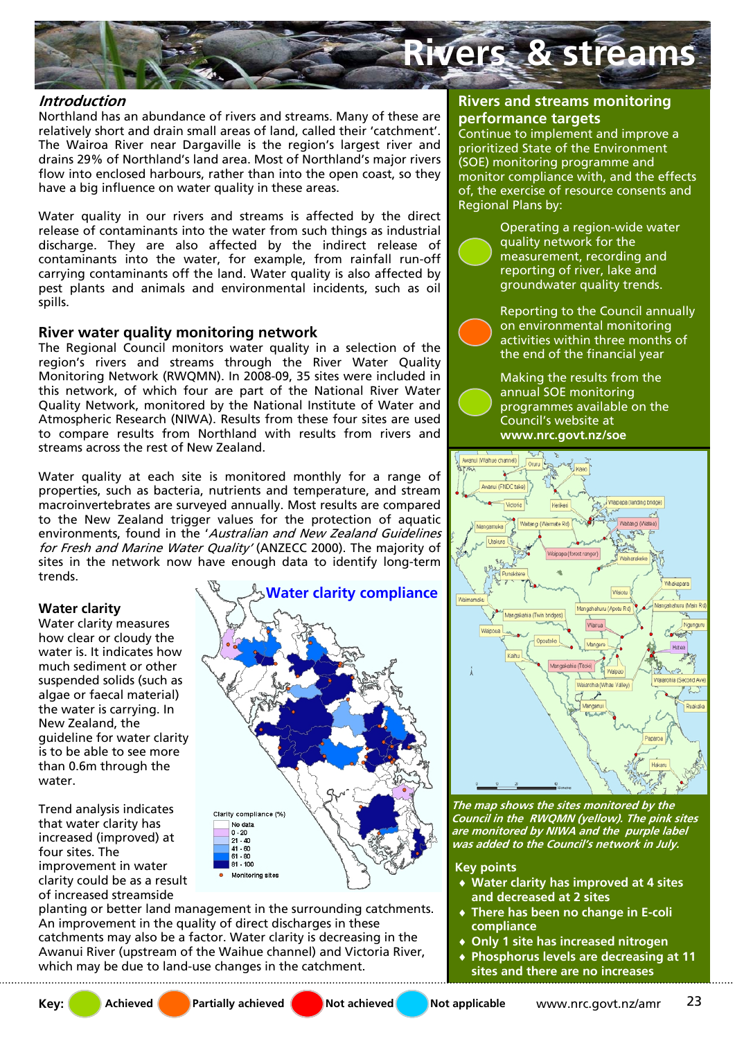

### **Introduction**

Northland has an abundance of rivers and streams. Many of these are relatively short and drain small areas of land, called their 'catchment'. The Wairoa River near Dargaville is the region's largest river and drains 29% of Northland's land area. Most of Northland's major rivers flow into enclosed harbours, rather than into the open coast, so they have a big influence on water quality in these areas.

Water quality in our rivers and streams is affected by the direct release of contaminants into the water from such things as industrial discharge. They are also affected by the indirect release of contaminants into the water, for example, from rainfall run-off carrying contaminants off the land. Water quality is also affected by pest plants and animals and environmental incidents, such as oil spills.

# **River water quality monitoring network**

The Regional Council monitors water quality in a selection of the region's rivers and streams through the River Water Quality Monitoring Network (RWQMN). In 2008-09, 35 sites were included in this network, of which four are part of the National River Water Quality Network, monitored by the National Institute of Water and Atmospheric Research (NIWA). Results from these four sites are used to compare results from Northland with results from rivers and streams across the rest of New Zealand.

Water quality at each site is monitored monthly for a range of properties, such as bacteria, nutrients and temperature, and stream macroinvertebrates are surveyed annually. Most results are compared to the New Zealand trigger values for the protection of aquatic environments, found in the 'Australian and New Zealand Guidelines for Fresh and Marine Water Quality' (ANZECC 2000). The majority of sites in the network now have enough data to identify long-term trends.

## **Water clarity**

Water clarity measures how clear or cloudy the water is. It indicates how much sediment or other suspended solids (such as algae or faecal material) the water is carrying. In New Zealand, the guideline for water clarity is to be able to see more than 0.6m through the water.

Trend analysis indicates that water clarity has increased (improved) at four sites. The improvement in water clarity could be as a result of increased streamside



planting or better land management in the surrounding catchments. An improvement in the quality of direct discharges in these catchments may also be a factor. Water clarity is decreasing in the Awanui River (upstream of the Waihue channel) and Victoria River, which may be due to land-use changes in the catchment.

### **Rivers and streams monitoring performance targets**

Continue to implement and improve a prioritized State of the Environment (SOE) monitoring programme and monitor compliance with, and the effects of, the exercise of resource consents and Regional Plans by:

> Operating a region-wide water quality network for the measurement, recording and reporting of river, lake and groundwater quality trends.

Reporting to the Council annually on environmental monitoring activities within three months of the end of the financial year

Making the results from the annual SOE monitoring programmes available on the Council's website at **www.nrc.govt.nz/soe** 



**The map shows the sites monitored by the Council in the RWQMN (yellow). The pink sites are monitored by NIWA and the purple label was added to the Council's network in July.** 

**Key points** 

- ♦ **Water clarity has improved at 4 sites and decreased at 2 sites**
- **There has been no change in E-coli compliance**
- **Only 1 site has increased nitrogen**
- ♦ **Phosphorus levels are decreasing at 11 sites and there are no increases**